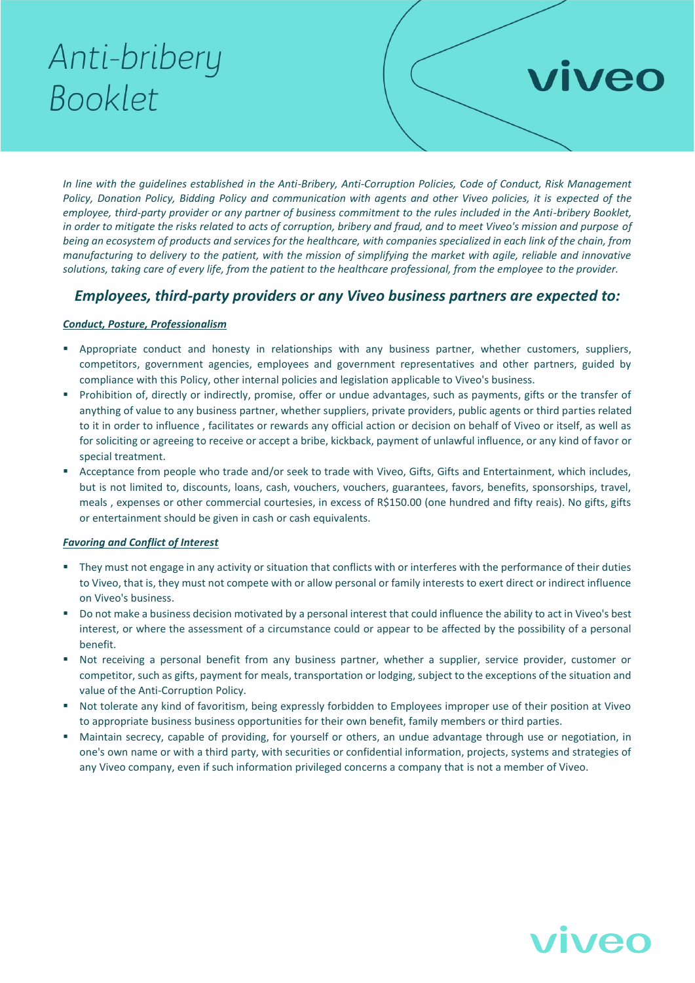# Anti-bribery Booklet

*In line with the guidelines established in the Anti-Bribery, Anti-Corruption Policies, Code of Conduct, Risk Management Policy, Donation Policy, Bidding Policy and communication with agents and other Viveo policies, it is expected of the employee, third-party provider or any partner of business commitment to the rules included in the Anti-bribery Booklet, in order to mitigate the risks related to acts of corruption, bribery and fraud, and to meet Viveo's mission and purpose of being an ecosystem of products and services for the healthcare, with companies specialized in each link of the chain, from manufacturing to delivery to the patient, with the mission of simplifying the market with agile, reliable and innovative solutions, taking care of every life, from the patient to the healthcare professional, from the employee to the provider.*

# *Employees, third-party providers or any Viveo business partners are expected to:*

## *Conduct, Posture, Professionalism*

- Appropriate conduct and honesty in relationships with any business partner, whether customers, suppliers, competitors, government agencies, employees and government representatives and other partners, guided by compliance with this Policy, other internal policies and legislation applicable to Viveo's business.
- Prohibition of, directly or indirectly, promise, offer or undue advantages, such as payments, gifts or the transfer of anything of value to any business partner, whether suppliers, private providers, public agents or third parties related to it in order to influence , facilitates or rewards any official action or decision on behalf of Viveo or itself, as well as for soliciting or agreeing to receive or accept a bribe, kickback, payment of unlawful influence, or any kind of favor or special treatment.
- Acceptance from people who trade and/or seek to trade with Viveo, Gifts, Gifts and Entertainment, which includes, but is not limited to, discounts, loans, cash, vouchers, vouchers, guarantees, favors, benefits, sponsorships, travel, meals , expenses or other commercial courtesies, in excess of R\$150.00 (one hundred and fifty reais). No gifts, gifts or entertainment should be given in cash or cash equivalents.

### *Favoring and Conflict of Interest*

- They must not engage in any activity or situation that conflicts with or interferes with the performance of their duties to Viveo, that is, they must not compete with or allow personal or family interests to exert direct or indirect influence on Viveo's business.
- Do not make a business decision motivated by a personal interest that could influence the ability to act in Viveo's best interest, or where the assessment of a circumstance could or appear to be affected by the possibility of a personal benefit.
- Not receiving a personal benefit from any business partner, whether a supplier, service provider, customer or competitor, such as gifts, payment for meals, transportation or lodging, subject to the exceptions of the situation and value of the Anti-Corruption Policy.
- Not tolerate any kind of favoritism, being expressly forbidden to Employees improper use of their position at Viveo to appropriate business business opportunities for their own benefit, family members or third parties.
- Maintain secrecy, capable of providing, for yourself or others, an undue advantage through use or negotiation, in one's own name or with a third party, with securities or confidential information, projects, systems and strategies of any Viveo company, even if such information privileged concerns a company that is not a member of Viveo.



viveo